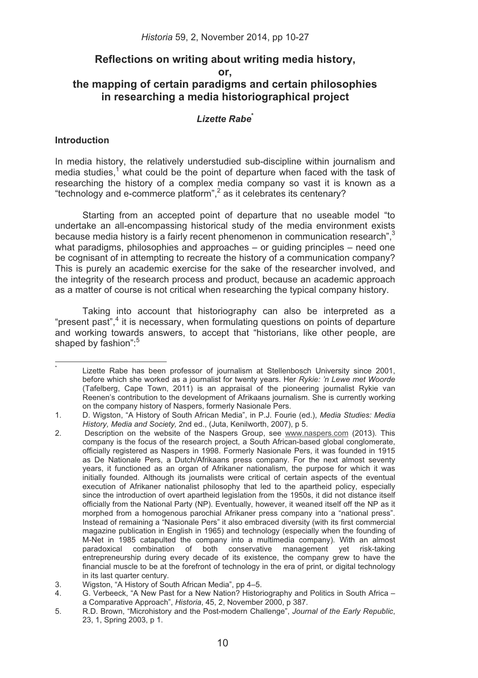# **Reflections on writing about writing media history,**

**or,** 

# **the mapping of certain paradigms and certain philosophies in researching a media historiographical project**

# Lizette Rabe<sup>®</sup>

# **Introduction**

--------------------------------------

In media history, the relatively understudied sub-discipline within journalism and media studies,<sup>1</sup> what could be the point of departure when faced with the task of researching the history of a complex media company so vast it is known as a "technology and e-commerce platform", $2$  as it celebrates its centenary?

Starting from an accepted point of departure that no useable model "to undertake an all-encompassing historical study of the media environment exists because media history is a fairly recent phenomenon in communication research".<sup>3</sup> what paradigms, philosophies and approaches – or guiding principles – need one be cognisant of in attempting to recreate the history of a communication company? This is purely an academic exercise for the sake of the researcher involved, and the integrity of the research process and product, because an academic approach as a matter of course is not critical when researching the typical company history.

Taking into account that historiography can also be interpreted as a "present past",<sup>4</sup> it is necessary, when formulating questions on points of departure and working towards answers, to accept that "historians, like other people, are shaped by fashion":<sup>5</sup>

<sup>\*</sup> Lizette Rabe has been professor of journalism at Stellenbosch University since 2001, before which she worked as a journalist for twenty years. Her *Rykie: 'n Lewe met Woorde*  (Tafelberg, Cape Town, 2011) is an appraisal of the pioneering journalist Rykie van Reenen's contribution to the development of Afrikaans journalism. She is currently working on the company history of Naspers, formerly Nasionale Pers.

<sup>1.</sup> D. Wigston, "A History of South African Media", in P.J. Fourie (ed.), *Media Studies: Media History, Media and Society,* 2nd ed., (Juta, Kenilworth, 2007), p 5.

<sup>2.</sup> Description on the website of the Naspers Group, see www.naspers.com (2013). This company is the focus of the research project, a South African-based global conglomerate, officially registered as Naspers in 1998. Formerly Nasionale Pers, it was founded in 1915 as De Nationale Pers, a Dutch/Afrikaans press company. For the next almost seventy years, it functioned as an organ of Afrikaner nationalism, the purpose for which it was initially founded. Although its journalists were critical of certain aspects of the eventual execution of Afrikaner nationalist philosophy that led to the apartheid policy, especially since the introduction of overt apartheid legislation from the 1950s, it did not distance itself officially from the National Party (NP). Eventually, however, it weaned itself off the NP as it morphed from a homogenous parochial Afrikaner press company into a "national press". Instead of remaining a "Nasionale Pers" it also embraced diversity (with its first commercial magazine publication in English in 1965) and technology (especially when the founding of M-Net in 1985 catapulted the company into a multimedia company). With an almost paradoxical combination of both conservative management yet risk-taking entrepreneurship during every decade of its existence, the company grew to have the financial muscle to be at the forefront of technology in the era of print, or digital technology in its last quarter century.

<sup>3.</sup> Wigston, "A History of South African Media", pp 4–5.

<sup>4.</sup> G. Verbeeck, "A New Past for a New Nation? Historiography and Politics in South Africa – a Comparative Approach", *Historia*, 45, 2, November 2000, p 387.

<sup>5.</sup> R.D. Brown, "Microhistory and the Post-modern Challenge", *Journal of the Early Republic*, 23, 1, Spring 2003, p 1.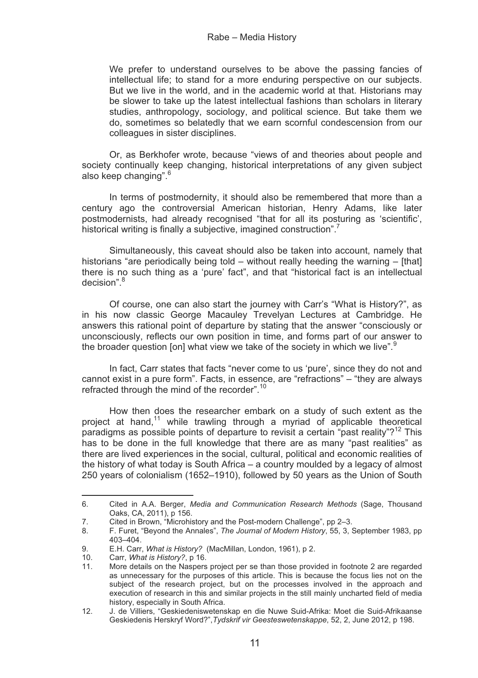We prefer to understand ourselves to be above the passing fancies of intellectual life; to stand for a more enduring perspective on our subjects. But we live in the world, and in the academic world at that. Historians may be slower to take up the latest intellectual fashions than scholars in literary studies, anthropology, sociology, and political science. But take them we do, sometimes so belatedly that we earn scornful condescension from our colleagues in sister disciplines.

Or, as Berkhofer wrote, because "views of and theories about people and society continually keep changing, historical interpretations of any given subject also keep changing".<sup>6</sup>

In terms of postmodernity, it should also be remembered that more than a century ago the controversial American historian, Henry Adams, like later postmodernists, had already recognised "that for all its posturing as 'scientific', historical writing is finally a subjective, imagined construction".<sup>7</sup>

Simultaneously, this caveat should also be taken into account, namely that historians "are periodically being told – without really heeding the warning – [that] there is no such thing as a 'pure' fact", and that "historical fact is an intellectual decision".<sup>8</sup>

Of course, one can also start the journey with Carr's "What is History?", as in his now classic George Macauley Trevelyan Lectures at Cambridge. He answers this rational point of departure by stating that the answer "consciously or unconsciously, reflects our own position in time, and forms part of our answer to the broader question [on] what view we take of the society in which we live".<sup>9</sup>

In fact, Carr states that facts "never come to us 'pure', since they do not and cannot exist in a pure form". Facts, in essence, are "refractions" – "they are always refracted through the mind of the recorder".<sup>10</sup>

How then does the researcher embark on a study of such extent as the project at hand,<sup>11</sup> while trawling through a myriad of applicable theoretical paradigms as possible points of departure to revisit a certain "past reality"?<sup>12</sup> This has to be done in the full knowledge that there are as many "past realities" as there are lived experiences in the social, cultural, political and economic realities of the history of what today is South Africa – a country moulded by a legacy of almost 250 years of colonialism (1652–1910), followed by 50 years as the Union of South

--------------------------------------

<sup>6.</sup> Cited in A.A. Berger, *Media and Communication Research Methods* (Sage, Thousand Oaks, CA, 2011), p 156.

<sup>7.</sup> Cited in Brown, "Microhistory and the Post-modern Challenge", pp 2–3.<br>8. F. Furet. "Bevond the Annales". The Journal of Modern History. 55. 3.

<sup>8.</sup> F. Furet, "Beyond the Annales", *The Journal of Modern History*, 55, 3, September 1983, pp 403–404.

<sup>9.</sup> E.H. Carr, *What is History?* (MacMillan, London, 1961), p 2.

<sup>10.</sup> Carr, *What is History?*, p 16.

<sup>11.</sup> More details on the Naspers project per se than those provided in footnote 2 are regarded as unnecessary for the purposes of this article. This is because the focus lies not on the subject of the research project, but on the processes involved in the approach and execution of research in this and similar projects in the still mainly uncharted field of media history, especially in South Africa.

<sup>12.</sup> J. de Villiers, "Geskiedeniswetenskap en die Nuwe Suid-Afrika: Moet die Suid-Afrikaanse Geskiedenis Herskryf Word?",*Tydskrif vir Geesteswetenskappe*, 52, 2, June 2012, p 198.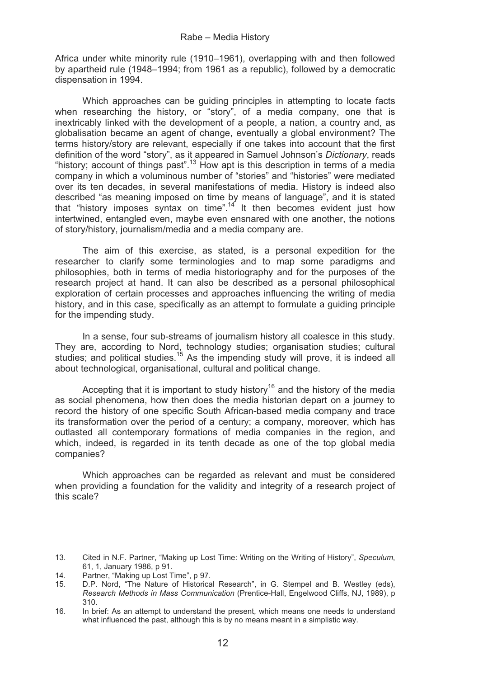Africa under white minority rule (1910–1961), overlapping with and then followed by apartheid rule (1948–1994; from 1961 as a republic), followed by a democratic dispensation in 1994.

Which approaches can be guiding principles in attempting to locate facts when researching the history, or "story", of a media company, one that is inextricably linked with the development of a people, a nation, a country and, as globalisation became an agent of change, eventually a global environment? The terms history/story are relevant, especially if one takes into account that the first definition of the word "story", as it appeared in Samuel Johnson's *Dictionary*, reads "history: account of things past".<sup>13</sup> How apt is this description in terms of a media company in which a voluminous number of "stories" and "histories" were mediated over its ten decades, in several manifestations of media. History is indeed also described "as meaning imposed on time by means of language", and it is stated that "history imposes syntax on time".14 It then becomes evident just how intertwined, entangled even, maybe even ensnared with one another, the notions of story/history, journalism/media and a media company are.

The aim of this exercise, as stated, is a personal expedition for the researcher to clarify some terminologies and to map some paradigms and philosophies, both in terms of media historiography and for the purposes of the research project at hand. It can also be described as a personal philosophical exploration of certain processes and approaches influencing the writing of media history, and in this case, specifically as an attempt to formulate a guiding principle for the impending study.

In a sense, four sub-streams of journalism history all coalesce in this study. They are, according to Nord, technology studies; organisation studies; cultural studies; and political studies.<sup>15</sup> As the impending study will prove, it is indeed all about technological, organisational, cultural and political change.

Accepting that it is important to study history<sup>16</sup> and the history of the media as social phenomena, how then does the media historian depart on a journey to record the history of one specific South African-based media company and trace its transformation over the period of a century; a company, moreover, which has outlasted all contemporary formations of media companies in the region, and which, indeed, is regarded in its tenth decade as one of the top global media companies?

Which approaches can be regarded as relevant and must be considered when providing a foundation for the validity and integrity of a research project of this scale?

--------------------------------------

13. Cited in N.F. Partner, "Making up Lost Time: Writing on the Writing of History", *Speculum*, 61, 1, January 1986, p 91.

<sup>14.</sup> Partner, "Making up Lost Time", p 97.<br>15. D.P. Nord. "The Nature of Historica

D.P. Nord, "The Nature of Historical Research", in G. Stempel and B. Westley (eds), *Research Methods in Mass Communication* (Prentice-Hall, Engelwood Cliffs, NJ, 1989), p 310.

<sup>16.</sup> In brief: As an attempt to understand the present, which means one needs to understand what influenced the past, although this is by no means meant in a simplistic way.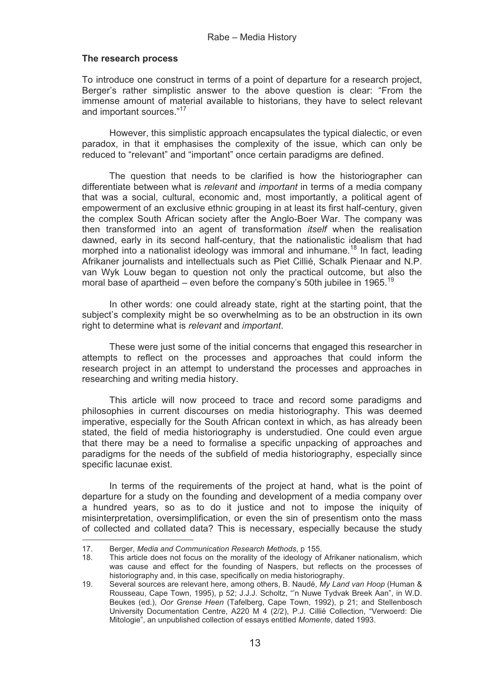# **The research process**

To introduce one construct in terms of a point of departure for a research project, Berger's rather simplistic answer to the above question is clear: "From the immense amount of material available to historians, they have to select relevant and important sources."17

However, this simplistic approach encapsulates the typical dialectic, or even paradox, in that it emphasises the complexity of the issue, which can only be reduced to "relevant" and "important" once certain paradigms are defined.

The question that needs to be clarified is how the historiographer can differentiate between what is *relevant* and *important* in terms of a media company that was a social, cultural, economic and, most importantly, a political agent of empowerment of an exclusive ethnic grouping in at least its first half-century, given the complex South African society after the Anglo-Boer War. The company was then transformed into an agent of transformation *itself* when the realisation dawned, early in its second half-century, that the nationalistic idealism that had morphed into a nationalist ideology was immoral and inhumane.<sup>18</sup> In fact, leading Afrikaner journalists and intellectuals such as Piet Cillié, Schalk Pienaar and N.P. van Wyk Louw began to question not only the practical outcome, but also the moral base of apartheid – even before the company's 50th jubilee in 1965.<sup>19</sup>

In other words: one could already state, right at the starting point, that the subject's complexity might be so overwhelming as to be an obstruction in its own right to determine what is *relevant* and *important*.

These were just some of the initial concerns that engaged this researcher in attempts to reflect on the processes and approaches that could inform the research project in an attempt to understand the processes and approaches in researching and writing media history.

This article will now proceed to trace and record some paradigms and philosophies in current discourses on media historiography. This was deemed imperative, especially for the South African context in which, as has already been stated, the field of media historiography is understudied. One could even argue that there may be a need to formalise a specific unpacking of approaches and paradigms for the needs of the subfield of media historiography, especially since specific lacunae exist.

In terms of the requirements of the project at hand, what is the point of departure for a study on the founding and development of a media company over a hundred years, so as to do it justice and not to impose the iniquity of misinterpretation, oversimplification, or even the sin of presentism onto the mass of collected and collated data? This is necessary, especially because the study

-------------------------------------

<sup>-</sup>17. Berger, *Media and Communication Research Methods*, p 155.

This article does not focus on the morality of the ideology of Afrikaner nationalism, which was cause and effect for the founding of Naspers, but reflects on the processes of historiography and, in this case, specifically on media historiography.

<sup>19.</sup> Several sources are relevant here, among others, B. Naudé, *My Land van Hoop* (Human & Rousseau, Cape Town, 1995), p 52; J.J.J. Scholtz, "'n Nuwe Tydvak Breek Aan", in W.D. Beukes (ed.), *Oor Grense Heen* (Tafelberg, Cape Town, 1992), p 21; and Stellenbosch University Documentation Centre, A220 M 4 (2/2), P.J. Cillié Collection, "Verwoerd: Die Mitologie", an unpublished collection of essays entitled *Momente*, dated 1993.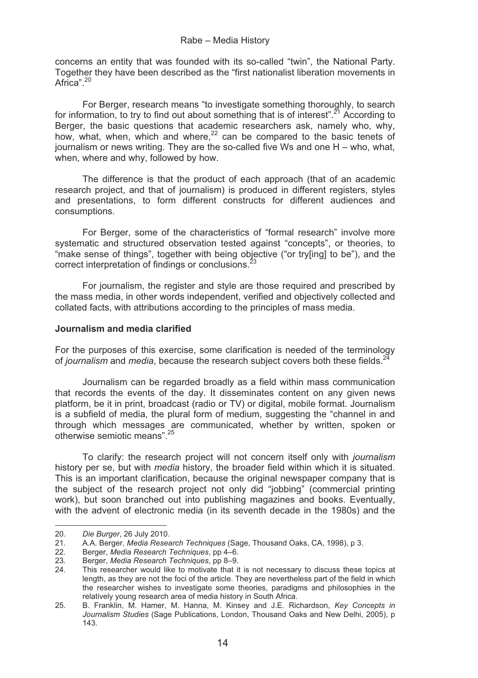concerns an entity that was founded with its so-called "twin", the National Party. Together they have been described as the "first nationalist liberation movements in Africa"<sup>20</sup>

For Berger, research means "to investigate something thoroughly, to search for information, to try to find out about something that is of interest".<sup> $21$ </sup> According to Berger, the basic questions that academic researchers ask, namely who, why, how, what, when, which and where, $2^2$  can be compared to the basic tenets of journalism or news writing. They are the so-called five Ws and one H – who, what, when, where and why, followed by how.

The difference is that the product of each approach (that of an academic research project, and that of journalism) is produced in different registers, styles and presentations, to form different constructs for different audiences and consumptions.

For Berger, some of the characteristics of "formal research" involve more systematic and structured observation tested against "concepts", or theories, to "make sense of things", together with being objective ("or try[ing] to be"), and the correct interpretation of findings or conclusions.<sup>23</sup>

For journalism, the register and style are those required and prescribed by the mass media, in other words independent, verified and objectively collected and collated facts, with attributions according to the principles of mass media.

### **Journalism and media clarified**

For the purposes of this exercise, some clarification is needed of the terminology of *journalism* and *media*, because the research subject covers both these fields.24

Journalism can be regarded broadly as a field within mass communication that records the events of the day. It disseminates content on any given news platform, be it in print, broadcast (radio or TV) or digital, mobile format. Journalism is a subfield of media, the plural form of medium, suggesting the "channel in and through which messages are communicated, whether by written, spoken or otherwise semiotic means".25

To clarify: the research project will not concern itself only with *journalism* history per se, but with *media* history, the broader field within which it is situated. This is an important clarification, because the original newspaper company that is the subject of the research project not only did "jobbing" (commercial printing work), but soon branched out into publishing magazines and books. Eventually, with the advent of electronic media (in its seventh decade in the 1980s) and the

----------------

----------------

<sup>-</sup>-----20. *Die Burger*, 26 July 2010.

<sup>21.</sup> A.A. Berger, *Media Research Techniques* (Sage, Thousand Oaks, CA, 1998), p 3.

<sup>22.</sup> Berger, *Media Research Techniques*, pp 4–6.

<sup>23.</sup> Berger, *Media Research Techniques*, pp 8–9.

<sup>24.</sup> This researcher would like to motivate that it is not necessary to discuss these topics at length, as they are not the foci of the article. They are nevertheless part of the field in which the researcher wishes to investigate some theories, paradigms and philosophies in the relatively young research area of media history in South Africa.

<sup>25.</sup> B. Franklin, M. Hamer, M. Hanna, M. Kinsey and J.E. Richardson, *Key Concepts in Journalism Studies* (Sage Publications, London, Thousand Oaks and New Delhi, 2005), p 143.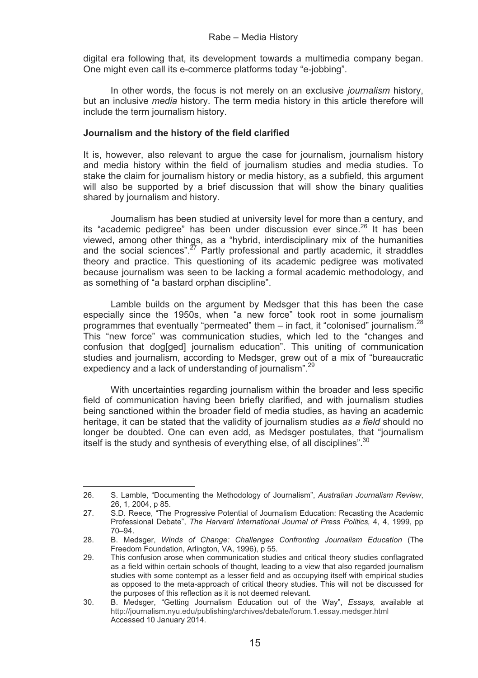digital era following that, its development towards a multimedia company began. One might even call its e-commerce platforms today "e-jobbing".

In other words, the focus is not merely on an exclusive *journalism* history, but an inclusive *media* history. The term media history in this article therefore will include the term journalism history.

### **Journalism and the history of the field clarified**

It is, however, also relevant to argue the case for journalism, journalism history and media history within the field of journalism studies and media studies. To stake the claim for journalism history or media history, as a subfield, this argument will also be supported by a brief discussion that will show the binary qualities shared by journalism and history.

Journalism has been studied at university level for more than a century, and its "academic pedigree" has been under discussion ever since. $^{26}$  It has been viewed, among other things, as a "hybrid, interdisciplinary mix of the humanities and the social sciences".<sup>27</sup> Partly professional and partly academic, it straddles theory and practice. This questioning of its academic pedigree was motivated because journalism was seen to be lacking a formal academic methodology, and as something of "a bastard orphan discipline".

Lamble builds on the argument by Medsger that this has been the case especially since the 1950s, when "a new force" took root in some journalism programmes that eventually "permeated" them - in fact, it "colonised" journalism.<sup>28</sup> This "new force" was communication studies, which led to the "changes and confusion that dog[ged] journalism education". This uniting of communication studies and journalism, according to Medsger, grew out of a mix of "bureaucratic expediency and a lack of understanding of journalism".<sup>29</sup>

With uncertainties regarding journalism within the broader and less specific field of communication having been briefly clarified, and with journalism studies being sanctioned within the broader field of media studies, as having an academic heritage, it can be stated that the validity of journalism studies *as a field* should no longer be doubted. One can even add, as Medsger postulates, that "journalism itself is the study and synthesis of everything else, of all disciplines".<sup>30</sup>

---------------------------------------

26. S. Lamble, "Documenting the Methodology of Journalism", *Australian Journalism Review*, 26, 1, 2004, p 85.

<sup>27.</sup> S.D. Reece, "The Progressive Potential of Journalism Education: Recasting the Academic Professional Debate", *The Harvard International Journal of Press Politics,* 4, 4, 1999, pp 70–94.

<sup>28.</sup> B. Medsger, *Winds of Change: Challenges Confronting Journalism Education* (The Freedom Foundation, Arlington, VA, 1996), p 55.

<sup>29.</sup> This confusion arose when communication studies and critical theory studies conflagrated as a field within certain schools of thought, leading to a view that also regarded journalism studies with some contempt as a lesser field and as occupying itself with empirical studies as opposed to the meta-approach of critical theory studies. This will not be discussed for the purposes of this reflection as it is not deemed relevant.

<sup>30.</sup> B. Medsger, "Getting Journalism Education out of the Way", *Essays,* available at http://journalism.nyu.edu/publishing/archives/debate/forum.1.essay.medsger.html Accessed 10 January 2014.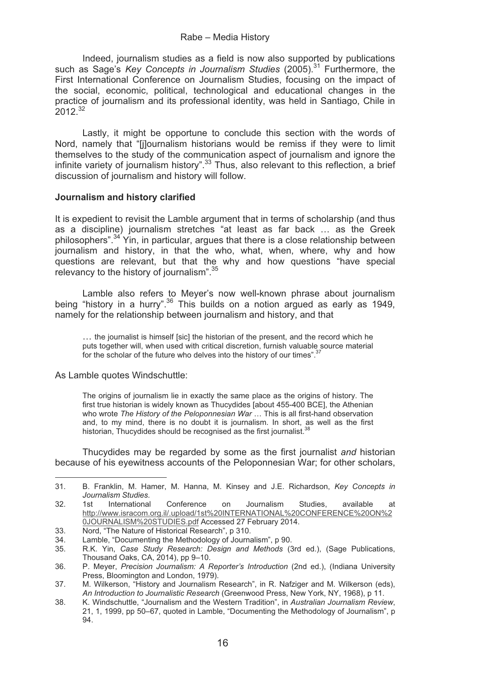Indeed, journalism studies as a field is now also supported by publications such as Sage's *Key Concepts in Journalism Studies* (2005).<sup>31</sup> Furthermore, the First International Conference on Journalism Studies, focusing on the impact of the social, economic, political, technological and educational changes in the practice of journalism and its professional identity, was held in Santiago, Chile in  $2012^{32}$ 

Lastly, it might be opportune to conclude this section with the words of Nord, namely that "[j]ournalism historians would be remiss if they were to limit themselves to the study of the communication aspect of journalism and ignore the infinite variety of journalism history".<sup>33</sup> Thus, also relevant to this reflection, a brief discussion of journalism and history will follow.

# **Journalism and history clarified**

It is expedient to revisit the Lamble argument that in terms of scholarship (and thus as a discipline) journalism stretches "at least as far back … as the Greek philosophers".34 Yin, in particular, argues that there is a close relationship between journalism and history, in that the who, what, when, where, why and how questions are relevant, but that the why and how questions "have special relevancy to the history of journalism".<sup>35</sup>

Lamble also refers to Meyer's now well-known phrase about journalism being "history in a hurry".36 This builds on a notion argued as early as 1949, namely for the relationship between journalism and history, and that

… the journalist is himself [sic] the historian of the present, and the record which he puts together will, when used with critical discretion, furnish valuable source material for the scholar of the future who delves into the history of our times".<sup>3</sup>

As Lamble quotes Windschuttle:

--------------------------------------

The origins of journalism lie in exactly the same place as the origins of history. The first true historian is widely known as Thucydides [about 455-400 BCE], the Athenian who wrote *The History of the Peloponnesian War* … This is all first-hand observation and, to my mind, there is no doubt it is journalism. In short, as well as the first historian, Thucydides should be recognised as the first journalist.<sup>38</sup>

Thucydides may be regarded by some as the first journalist *and* historian because of his eyewitness accounts of the Peloponnesian War; for other scholars,

<sup>31.</sup> B. Franklin, M. Hamer, M. Hanna, M. Kinsey and J.E. Richardson, *Key Concepts in Journalism Studies.*

<sup>32. 1</sup>st International Conference on Journalism Studies, available at http://www.isracom.org.il/.upload/1st%20INTERNATIONAL%20CONFERENCE%20ON%2 0JOURNALISM%20STUDIES.pdf Accessed 27 February 2014.

<sup>33.</sup> Nord, "The Nature of Historical Research", p 310.<br>34. Lamble, "Documenting the Methodology of Journal

<sup>34.</sup> Lamble, "Documenting the Methodology of Journalism", p 90.<br>35. R.K. Yin. Case Study Research: Design and Methods (3

<sup>35.</sup> R.K. Yin, *Case Study Research: Design and Methods* (3rd ed.), (Sage Publications, Thousand Oaks, CA, 2014), pp 9–10.

<sup>36.</sup> P. Meyer, *Precision Journalism: A Reporter's Introduction* (2nd ed.), (Indiana University Press, Bloomington and London, 1979).

<sup>37.</sup> M. Wilkerson, "History and Journalism Research", in R. Nafziger and M. Wilkerson (eds), *An Introduction to Journalistic Research* (Greenwood Press, New York, NY, 1968), p 11.

<sup>38.</sup> K. Windschuttle, "Journalism and the Western Tradition", in *Australian Journalism Review*, 21, 1, 1999, pp 50–67, quoted in Lamble, "Documenting the Methodology of Journalism", p 94.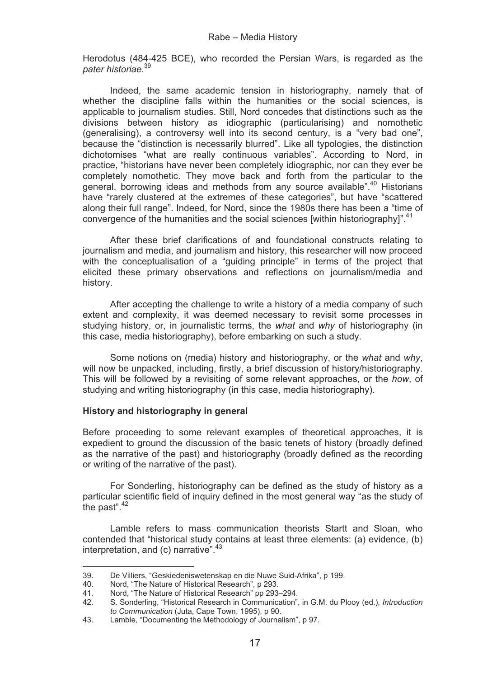Herodotus (484-425 BCE), who recorded the Persian Wars, is regarded as the *pater historiae*. 39

Indeed, the same academic tension in historiography, namely that of whether the discipline falls within the humanities or the social sciences, is applicable to journalism studies. Still, Nord concedes that distinctions such as the divisions between history as idiographic (particularising) and nomothetic (generalising), a controversy well into its second century, is a "very bad one", because the "distinction is necessarily blurred". Like all typologies, the distinction dichotomises "what are really continuous variables". According to Nord, in practice, "historians have never been completely idiographic, nor can they ever be completely nomothetic. They move back and forth from the particular to the general, borrowing ideas and methods from any source available".40 Historians have "rarely clustered at the extremes of these categories", but have "scattered along their full range". Indeed, for Nord, since the 1980s there has been a "time of convergence of the humanities and the social sciences [within historiography] $^{n}$ ,  $^{41}$ 

After these brief clarifications of and foundational constructs relating to journalism and media, and journalism and history, this researcher will now proceed with the conceptualisation of a "guiding principle" in terms of the project that elicited these primary observations and reflections on journalism/media and history.

After accepting the challenge to write a history of a media company of such extent and complexity, it was deemed necessary to revisit some processes in studying history, or, in journalistic terms, the *what* and *why* of historiography (in this case, media historiography), before embarking on such a study.

Some notions on (media) history and historiography, or the *what* and *why*, will now be unpacked, including, firstly, a brief discussion of history/historiography. This will be followed by a revisiting of some relevant approaches, or the *how*, of studying and writing historiography (in this case, media historiography).

# **History and historiography in general**

Before proceeding to some relevant examples of theoretical approaches, it is expedient to ground the discussion of the basic tenets of history (broadly defined as the narrative of the past) and historiography (broadly defined as the recording or writing of the narrative of the past).

For Sonderling, historiography can be defined as the study of history as a particular scientific field of inquiry defined in the most general way "as the study of the past". $42$ 

Lamble refers to mass communication theorists Startt and Sloan, who contended that "historical study contains at least three elements: (a) evidence, (b) interpretation, and (c) narrative".<sup>43</sup>

------------------------------- ---

39. De Villiers, "Geskiedeniswetenskap en die Nuwe Suid-Afrika", p 199.

<sup>-</sup>---40. Nord, "The Nature of Historical Research", p 293.<br>41 Nord. "The Nature of Historical Research" pp 293.

<sup>41.</sup> Nord, "The Nature of Historical Research" pp 293–294.<br>42. S. Sonderling "Historical Research in Communication"

<sup>42.</sup> S. Sonderling, "Historical Research in Communication", in G.M. du Plooy (ed.), *Introduction to Communication* (Juta, Cape Town, 1995), p 90.

<sup>43.</sup> Lamble, "Documenting the Methodology of Journalism", p 97.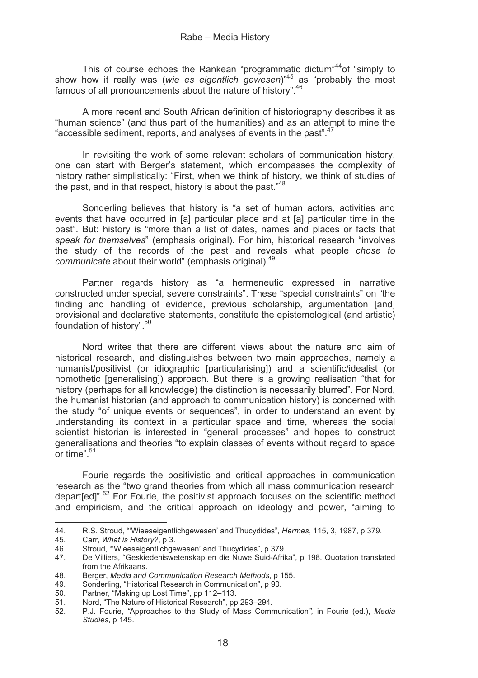This of course echoes the Rankean "programmatic dictum"<sup>44</sup> of "simply to show how it really was (*wie es eigentlich gewesen*)"45 as "probably the most famous of all pronouncements about the nature of history".46

A more recent and South African definition of historiography describes it as "human science" (and thus part of the humanities) and as an attempt to mine the "accessible sediment, reports, and analyses of events in the past".47

In revisiting the work of some relevant scholars of communication history, one can start with Berger's statement, which encompasses the complexity of history rather simplistically: "First, when we think of history, we think of studies of the past, and in that respect, history is about the past.<sup>48</sup>

Sonderling believes that history is "a set of human actors, activities and events that have occurred in [a] particular place and at [a] particular time in the past". But: history is "more than a list of dates, names and places or facts that *speak for themselves*" (emphasis original). For him, historical research "involves the study of the records of the past and reveals what people *chose to communicate* about their world" (emphasis original).49

Partner regards history as "a hermeneutic expressed in narrative constructed under special, severe constraints". These "special constraints" on "the finding and handling of evidence, previous scholarship, argumentation [and] provisional and declarative statements, constitute the epistemological (and artistic) foundation of history".<sup>50</sup>

Nord writes that there are different views about the nature and aim of historical research, and distinguishes between two main approaches, namely a humanist/positivist (or idiographic [particularising]) and a scientific/idealist (or nomothetic [generalising]) approach. But there is a growing realisation "that for history (perhaps for all knowledge) the distinction is necessarily blurred". For Nord, the humanist historian (and approach to communication history) is concerned with the study "of unique events or sequences", in order to understand an event by understanding its context in a particular space and time, whereas the social scientist historian is interested in "general processes" and hopes to construct generalisations and theories "to explain classes of events without regard to space or time".51

Fourie regards the positivistic and critical approaches in communication research as the "two grand theories from which all mass communication research depart[ed]".52 For Fourie, the positivist approach focuses on the scientific method and empiricism, and the critical approach on ideology and power, "aiming to

----------------

------------------

<sup>44.</sup> R.S. Stroud, "'Wieeseigentlichgewesen' and Thucydides", *Hermes*, 115, 3, 1987, p 379.

<sup>-</sup>---45. Carr, *What is History?*, p 3.

<sup>46.</sup> Stroud, "'Wieeseigentlichgewesen' and Thucydides", p 379.

<sup>47.</sup> De Villiers, "Geskiedeniswetenskap en die Nuwe Suid-Afrika", p 198. Quotation translated from the Afrikaans.

<sup>48.</sup> Berger, *Media and Communication Research Methods*, p 155.

<sup>49.</sup> Sonderling, "Historical Research in Communication", p 90.<br>50 Partner. "Making up Lost Time", pp 112–113.

<sup>50.</sup> Partner, "Making up Lost Time", pp 112–113.<br>51 Nord "The Nature of Historical Research", pp.

<sup>51.</sup> Nord, "The Nature of Historical Research", pp 293–294.<br>52 P.J. Fourie. "Approaches to the Study of Mass Comr

<sup>52.</sup> P.J. Fourie, *"*Approaches to the Study of Mass Communication*",* in Fourie (ed.), *Media Studies*, p 145.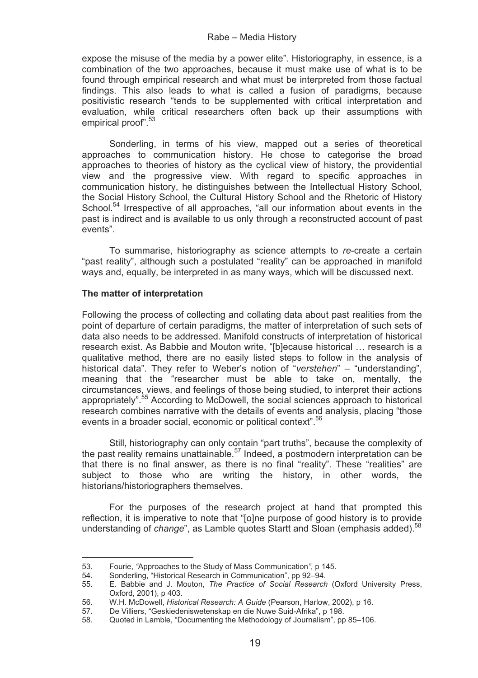expose the misuse of the media by a power elite". Historiography, in essence, is a combination of the two approaches, because it must make use of what is to be found through empirical research and what must be interpreted from those factual findings. This also leads to what is called a fusion of paradigms, because positivistic research "tends to be supplemented with critical interpretation and evaluation, while critical researchers often back up their assumptions with empirical proof".<sup>53</sup>

Sonderling, in terms of his view, mapped out a series of theoretical approaches to communication history. He chose to categorise the broad approaches to theories of history as the cyclical view of history, the providential view and the progressive view. With regard to specific approaches in communication history, he distinguishes between the Intellectual History School, the Social History School, the Cultural History School and the Rhetoric of History School.<sup>54</sup> Irrespective of all approaches, "all our information about events in the past is indirect and is available to us only through a reconstructed account of past events".

To summarise, historiography as science attempts to *re*-create a certain "past reality", although such a postulated "reality" can be approached in manifold ways and, equally, be interpreted in as many ways, which will be discussed next.

# **The matter of interpretation**

--------------------------------------

Following the process of collecting and collating data about past realities from the point of departure of certain paradigms, the matter of interpretation of such sets of data also needs to be addressed. Manifold constructs of interpretation of historical research exist. As Babbie and Mouton write, "[b]ecause historical … research is a qualitative method, there are no easily listed steps to follow in the analysis of historical data". They refer to Weber's notion of "*verstehen*" – "understanding", meaning that the "researcher must be able to take on, mentally, the circumstances, views, and feelings of those being studied, to interpret their actions appropriately".55 According to McDowell, the social sciences approach to historical research combines narrative with the details of events and analysis, placing "those events in a broader social, economic or political context".<sup>56</sup>

Still, historiography can only contain "part truths", because the complexity of the past reality remains unattainable.57 Indeed, a postmodern interpretation can be that there is no final answer, as there is no final "reality". These "realities" are subject to those who are writing the history, in other words, the historians/historiographers themselves.

For the purposes of the research project at hand that prompted this reflection, it is imperative to note that "[o]ne purpose of good history is to provide understanding of *change*", as Lamble quotes Startt and Sloan (emphasis added).<sup>58</sup>

<sup>53.</sup> Fourie, *"*Approaches to the Study of Mass Communication*"*, p 145.

<sup>54.</sup> Sonderling, "Historical Research in Communication", pp 92-94.<br>55. E. Babbie and J. Mouton. The Practice of Social Research

<sup>55.</sup> E. Babbie and J. Mouton, *The Practice of Social Research* (Oxford University Press, Oxford, 2001), p 403.

<sup>56.</sup> W.H. McDowell, *Historical Research: A Guide* (Pearson, Harlow, 2002), p 16.

<sup>57.</sup> De Villiers, "Geskiedeniswetenskap en die Nuwe Suid-Afrika", p 198.<br>58. Ouoted in Lamble, "Documenting the Methodology of Journalism", pp.

<sup>58.</sup> Quoted in Lamble, "Documenting the Methodology of Journalism", pp 85–106.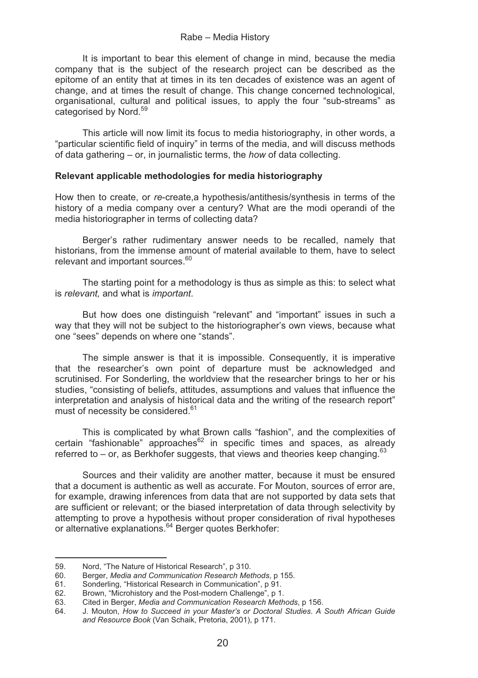It is important to bear this element of change in mind, because the media company that is the subject of the research project can be described as the epitome of an entity that at times in its ten decades of existence was an agent of change, and at times the result of change. This change concerned technological, organisational, cultural and political issues, to apply the four "sub-streams" as categorised by Nord.<sup>59</sup>

This article will now limit its focus to media historiography, in other words, a "particular scientific field of inquiry" in terms of the media, and will discuss methods of data gathering – or, in journalistic terms, the *how* of data collecting.

# **Relevant applicable methodologies for media historiography**

How then to create, or *re*-create,a hypothesis/antithesis/synthesis in terms of the history of a media company over a century? What are the modi operandi of the media historiographer in terms of collecting data?

Berger's rather rudimentary answer needs to be recalled, namely that historians, from the immense amount of material available to them, have to select relevant and important sources.<sup>60</sup>

The starting point for a methodology is thus as simple as this: to select what is *relevant,* and what is *important*.

But how does one distinguish "relevant" and "important" issues in such a way that they will not be subject to the historiographer's own views, because what one "sees" depends on where one "stands".

The simple answer is that it is impossible. Consequently, it is imperative that the researcher's own point of departure must be acknowledged and scrutinised. For Sonderling, the worldview that the researcher brings to her or his studies, "consisting of beliefs, attitudes, assumptions and values that influence the interpretation and analysis of historical data and the writing of the research report" must of necessity be considered.<sup>61</sup>

This is complicated by what Brown calls "fashion", and the complexities of certain "fashionable" approaches ${}^{62}$  in specific times and spaces, as already referred to – or, as Berkhofer suggests, that views and theories keep changing.<sup>63</sup>

Sources and their validity are another matter, because it must be ensured that a document is authentic as well as accurate. For Mouton, sources of error are, for example, drawing inferences from data that are not supported by data sets that are sufficient or relevant; or the biased interpretation of data through selectivity by attempting to prove a hypothesis without proper consideration of rival hypotheses or alternative explanations.64 Berger quotes Berkhofer:

------------------------------ --

<sup>-</sup>-----59. Nord, "The Nature of Historical Research", p 310.<br>60. Berger, Media and Communication Research Mei

<sup>60.</sup> Berger, *Media and Communication Research Methods*, p 155.

<sup>61.</sup> Sonderling, "Historical Research in Communication", p 91.

<sup>62.</sup> Brown, "Microhistory and the Post-modern Challenge", p 1.<br>63. Cited in Berger *Media and Communication Besearch Meth* 

<sup>63.</sup> Cited in Berger, *Media and Communication Research Methods*, p 156.

<sup>64.</sup> J. Mouton, *How to Succeed in your Master's or Doctoral Studies. A South African Guide and Resource Book* (Van Schaik, Pretoria, 2001), p 171.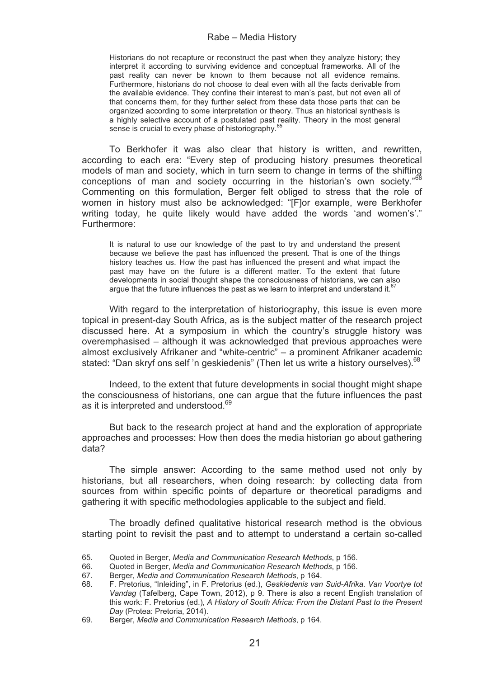Historians do not recapture or reconstruct the past when they analyze history; they interpret it according to surviving evidence and conceptual frameworks. All of the past reality can never be known to them because not all evidence remains. Furthermore, historians do not choose to deal even with all the facts derivable from the available evidence. They confine their interest to man's past, but not even all of that concerns them, for they further select from these data those parts that can be organized according to some interpretation or theory. Thus an historical synthesis is a highly selective account of a postulated past reality. Theory in the most general sense is crucial to every phase of historiography.<sup>65</sup>

To Berkhofer it was also clear that history is written, and rewritten, according to each era: "Every step of producing history presumes theoretical models of man and society, which in turn seem to change in terms of the shifting conceptions of man and society occurring in the historian's own society."<sup>6</sup> Commenting on this formulation, Berger felt obliged to stress that the role of women in history must also be acknowledged: "[F]or example, were Berkhofer writing today, he quite likely would have added the words 'and women's'." Furthermore:

It is natural to use our knowledge of the past to try and understand the present because we believe the past has influenced the present. That is one of the things history teaches us. How the past has influenced the present and what impact the past may have on the future is a different matter. To the extent that future developments in social thought shape the consciousness of historians, we can also argue that the future influences the past as we learn to interpret and understand it. $67$ 

With regard to the interpretation of historiography, this issue is even more topical in present-day South Africa, as is the subject matter of the research project discussed here. At a symposium in which the country's struggle history was overemphasised – although it was acknowledged that previous approaches were almost exclusively Afrikaner and "white-centric" – a prominent Afrikaner academic stated: "Dan skryf ons self 'n geskiedenis" (Then let us write a history ourselves). <sup>68</sup>

Indeed, to the extent that future developments in social thought might shape the consciousness of historians, one can argue that the future influences the past as it is interpreted and understood.<sup>69</sup>

But back to the research project at hand and the exploration of appropriate approaches and processes: How then does the media historian go about gathering data?

The simple answer: According to the same method used not only by historians, but all researchers, when doing research: by collecting data from sources from within specific points of departure or theoretical paradigms and gathering it with specific methodologies applicable to the subject and field.

The broadly defined qualitative historical research method is the obvious starting point to revisit the past and to attempt to understand a certain so-called

--------------------------------------

65. Quoted in Berger, *Media and Communication Research Methods*, p 156.

<sup>66.</sup> Quoted in Berger, *Media and Communication Research Methods*, p 156.

<sup>67.</sup> Berger, *Media and Communication Research Methods*, p 164.

<sup>68.</sup> F. Pretorius, "Inleiding", in F. Pretorius (ed.), *Geskiedenis van Suid-Afrika. Van Voortye tot Vandag* (Tafelberg, Cape Town, 2012), p 9. There is also a recent English translation of this work: F. Pretorius (ed.), *A History of South Africa: From the Distant Past to the Present Day* (Protea: Pretoria, 2014).

<sup>69.</sup> Berger, *Media and Communication Research Methods*, p 164.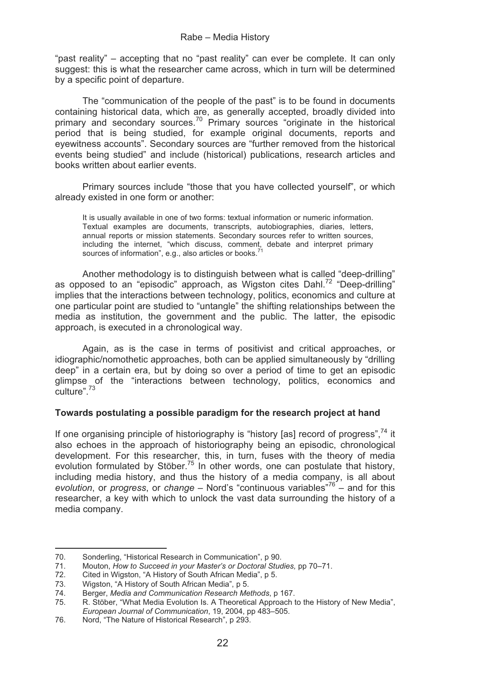"past reality" – accepting that no "past reality" can ever be complete. It can only suggest: this is what the researcher came across, which in turn will be determined by a specific point of departure.

The "communication of the people of the past" is to be found in documents containing historical data, which are, as generally accepted, broadly divided into primary and secondary sources.70 Primary sources "originate in the historical period that is being studied, for example original documents, reports and eyewitness accounts". Secondary sources are "further removed from the historical events being studied" and include (historical) publications, research articles and books written about earlier events.

Primary sources include "those that you have collected yourself", or which already existed in one form or another:

It is usually available in one of two forms: textual information or numeric information. Textual examples are documents, transcripts, autobiographies, diaries, letters, annual reports or mission statements. Secondary sources refer to written sources, including the internet, "which discuss, comment, debate and interpret primary sources of information", e.g., also articles or books.

Another methodology is to distinguish between what is called "deep-drilling" as opposed to an "episodic" approach, as Wigston cites Dahl.<sup>72</sup> "Deep-drilling" implies that the interactions between technology, politics, economics and culture at one particular point are studied to "untangle" the shifting relationships between the media as institution, the government and the public. The latter, the episodic approach, is executed in a chronological way.

Again, as is the case in terms of positivist and critical approaches, or idiographic/nomothetic approaches, both can be applied simultaneously by "drilling deep" in a certain era, but by doing so over a period of time to get an episodic glimpse of the "interactions between technology, politics, economics and  $C$ ulture".  $73$ 

# **Towards postulating a possible paradigm for the research project at hand**

If one organising principle of historiography is "history [as] record of progress".<sup>74</sup> it also echoes in the approach of historiography being an episodic, chronological development. For this researcher, this, in turn, fuses with the theory of media evolution formulated by Stöber.<sup>75</sup> In other words, one can postulate that history, including media history, and thus the history of a media company, is all about *evolution*, or *progress*, or *change* – Nord's "continuous variables"76 – and for this researcher, a key with which to unlock the vast data surrounding the history of a media company.

-----------------------------------

<sup>-</sup>--70. Sonderling, "Historical Research in Communication", p 90.

<sup>71.</sup> Mouton, *How to Succeed in your Master's or Doctoral Studies, pp 70–71.*<br>72. Cited in Wigston, "A History of South African Media", p. 5.

Cited in Wigston, "A History of South African Media", p 5.

<sup>73.</sup> 73. Wigston, "A History of South African Media", p 5.<br>74. Berger. Media and Communication Research Me

<sup>74.</sup> Berger, *Media and Communication Research Methods*, p 167.

<sup>75.</sup> R. Stöber, "What Media Evolution Is. A Theoretical Approach to the History of New Media", *European Journal of Communication*, 19, 2004, pp 483–505.

<sup>76.</sup> Nord, "The Nature of Historical Research", p 293.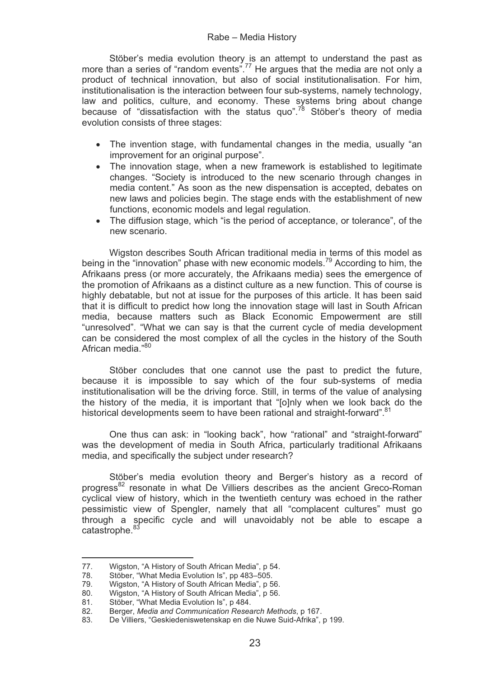Stöber's media evolution theory is an attempt to understand the past as more than a series of "random events".<sup>77</sup> He argues that the media are not only a product of technical innovation, but also of social institutionalisation. For him, institutionalisation is the interaction between four sub-systems, namely technology, law and politics, culture, and economy. These systems bring about change because of "dissatisfaction with the status quo".78 Stöber's theory of media evolution consists of three stages:

- The invention stage, with fundamental changes in the media, usually "an improvement for an original purpose".
- The innovation stage, when a new framework is established to legitimate changes. "Society is introduced to the new scenario through changes in media content." As soon as the new dispensation is accepted, debates on new laws and policies begin. The stage ends with the establishment of new functions, economic models and legal regulation.
- The diffusion stage, which "is the period of acceptance, or tolerance", of the new scenario.

 Wigston describes South African traditional media in terms of this model as being in the "innovation" phase with new economic models.<sup>79</sup> According to him, the Afrikaans press (or more accurately, the Afrikaans media) sees the emergence of the promotion of Afrikaans as a distinct culture as a new function. This of course is highly debatable, but not at issue for the purposes of this article. It has been said that it is difficult to predict how long the innovation stage will last in South African media, because matters such as Black Economic Empowerment are still "unresolved". "What we can say is that the current cycle of media development can be considered the most complex of all the cycles in the history of the South African media<sup>"80</sup>

 Stöber concludes that one cannot use the past to predict the future, because it is impossible to say which of the four sub-systems of media institutionalisation will be the driving force. Still, in terms of the value of analysing the history of the media, it is important that "[o]nly when we look back do the historical developments seem to have been rational and straight-forward".<sup>8</sup>

One thus can ask: in "looking back", how "rational" and "straight-forward" was the development of media in South Africa, particularly traditional Afrikaans media, and specifically the subject under research?

Stöber's media evolution theory and Berger's history as a record of progress82 resonate in what De Villiers describes as the ancient Greco-Roman cyclical view of history, which in the twentieth century was echoed in the rather pessimistic view of Spengler, namely that all "complacent cultures" must go through a specific cycle and will unavoidably not be able to escape a catastrophe.<sup>8</sup>

--

------------------------------

<sup>-</sup>-----77. Wigston, "A History of South African Media", p 54.

<sup>78.</sup> Stöber, "What Media Evolution Is", pp 483–505.

<sup>79.</sup> Wigston, "A History of South African Media", p 56.

<sup>80.</sup> Wigston, "A History of South African Media", p 56.<br>81 Stöber "What Media Evolution Is", p 484.

<sup>81.</sup> Stöber, "What Media Evolution Is", p 484.<br>82 Berger. Media and Communication Resea 82. Berger, *Media and Communication Research Methods*, p 167.

<sup>83.</sup> De Villiers, "Geskiedeniswetenskap en die Nuwe Suid-Afrika", p 199.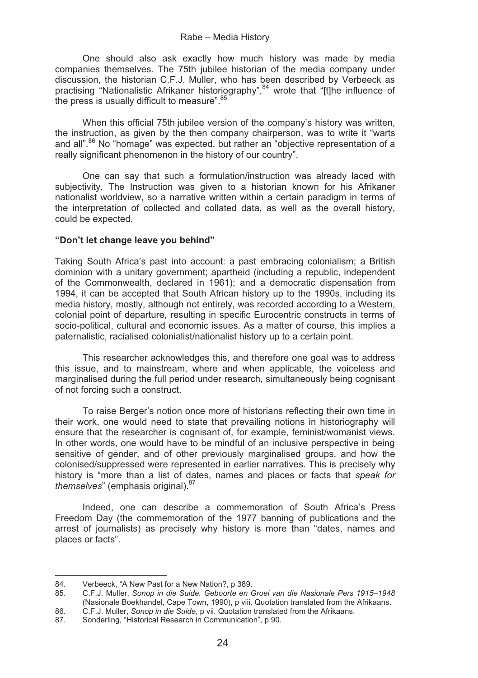One should also ask exactly how much history was made by media companies themselves. The 75th jubilee historian of the media company under discussion, the historian C.F.J. Muller, who has been described by Verbeeck as practising "Nationalistic Afrikaner historiography",<sup>84</sup> wrote that "[t]he influence of the press is usually difficult to measure".<sup>85</sup>

When this official 75th jubilee version of the company's history was written. the instruction, as given by the then company chairperson, was to write it "warts and all".86 No "homage" was expected, but rather an "objective representation of a really significant phenomenon in the history of our country".

One can say that such a formulation/instruction was already laced with subjectivity. The Instruction was given to a historian known for his Afrikaner nationalist worldview, so a narrative written within a certain paradigm in terms of the interpretation of collected and collated data, as well as the overall history, could be expected.

# **"Don't let change leave you behind"**

Taking South Africa's past into account: a past embracing colonialism; a British dominion with a unitary government; apartheid (including a republic, independent of the Commonwealth, declared in 1961); and a democratic dispensation from 1994, it can be accepted that South African history up to the 1990s, including its media history, mostly, although not entirely, was recorded according to a Western, colonial point of departure, resulting in specific Eurocentric constructs in terms of socio-political, cultural and economic issues. As a matter of course, this implies a paternalistic, racialised colonialist/nationalist history up to a certain point.

This researcher acknowledges this, and therefore one goal was to address this issue, and to mainstream, where and when applicable, the voiceless and marginalised during the full period under research, simultaneously being cognisant of not forcing such a construct.

To raise Berger's notion once more of historians reflecting their own time in their work, one would need to state that prevailing notions in historiography will ensure that the researcher is cognisant of, for example, feminist/womanist views. In other words, one would have to be mindful of an inclusive perspective in being sensitive of gender, and of other previously marginalised groups, and how the colonised/suppressed were represented in earlier narratives. This is precisely why history is "more than a list of dates, names and places or facts that *speak for themselves*" (emphasis original).<sup>87</sup>

Indeed, one can describe a commemoration of South Africa's Press Freedom Day (the commemoration of the 1977 banning of publications and the arrest of journalists) as precisely why history is more than "dates, names and places or facts".

--

------------------------------

<sup>-</sup>-----84. Verbeeck, "A New Past for a New Nation?, p 389.<br>85. C.F.J. Muller. Sonop in die Suide. Geboorte en Q

<sup>85.</sup> C.F.J. Muller, *Sonop in die Suide. Geboorte en Groei van die Nasionale Pers 1915–1948*  (Nasionale Boekhandel, Cape Town, 1990), p viii. Quotation translated from the Afrikaans.

<sup>86.</sup> C.F.J. Muller, *Sonop in die Suide*, p vii. Quotation translated from the Afrikaans.

Sonderling, "Historical Research in Communication", p 90.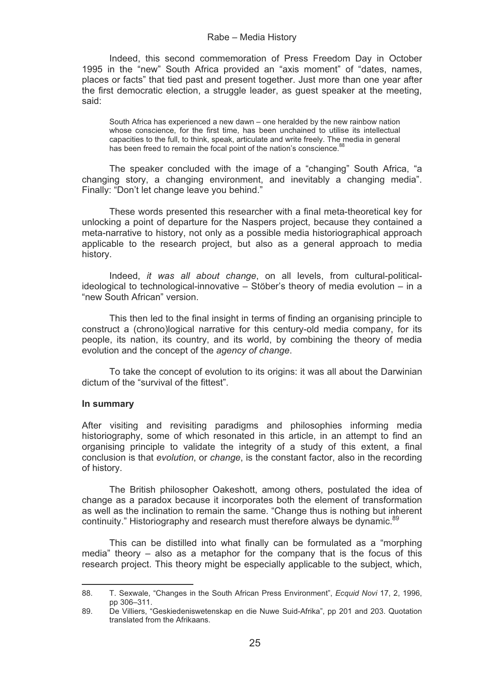Indeed, this second commemoration of Press Freedom Day in October 1995 in the "new" South Africa provided an "axis moment" of "dates, names, places or facts" that tied past and present together. Just more than one year after the first democratic election, a struggle leader, as guest speaker at the meeting, said:

South Africa has experienced a new dawn – one heralded by the new rainbow nation whose conscience, for the first time, has been unchained to utilise its intellectual capacities to the full, to think, speak, articulate and write freely. The media in general has been freed to remain the focal point of the nation's conscience.<sup>88</sup>

The speaker concluded with the image of a "changing" South Africa, "a changing story, a changing environment, and inevitably a changing media". Finally: "Don't let change leave you behind."

These words presented this researcher with a final meta-theoretical key for unlocking a point of departure for the Naspers project, because they contained a meta-narrative to history, not only as a possible media historiographical approach applicable to the research project, but also as a general approach to media history.

Indeed, *it was all about change*, on all levels, from cultural-politicalideological to technological-innovative – Stöber's theory of media evolution – in a "new South African" version.

This then led to the final insight in terms of finding an organising principle to construct a (chrono)logical narrative for this century-old media company, for its people, its nation, its country, and its world, by combining the theory of media evolution and the concept of the *agency of change*.

To take the concept of evolution to its origins: it was all about the Darwinian dictum of the "survival of the fittest".

# **In summary**

--------------------------------------

After visiting and revisiting paradigms and philosophies informing media historiography, some of which resonated in this article, in an attempt to find an organising principle to validate the integrity of a study of this extent, a final conclusion is that *evolution*, or *change*, is the constant factor, also in the recording of history.

The British philosopher Oakeshott, among others, postulated the idea of change as a paradox because it incorporates both the element of transformation as well as the inclination to remain the same. "Change thus is nothing but inherent continuity." Historiography and research must therefore always be dynamic.<sup>89</sup>

This can be distilled into what finally can be formulated as a "morphing media" theory – also as a metaphor for the company that is the focus of this research project. This theory might be especially applicable to the subject, which,

<sup>88.</sup> T. Sexwale, "Changes in the South African Press Environment", *Ecquid Novi* 17, 2, 1996, pp 306–311.

<sup>89.</sup> De Villiers, "Geskiedeniswetenskap en die Nuwe Suid-Afrika", pp 201 and 203. Quotation translated from the Afrikaans.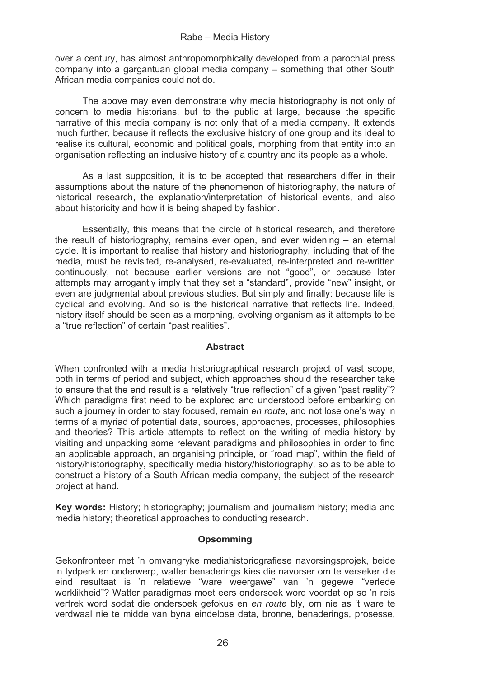over a century, has almost anthropomorphically developed from a parochial press company into a gargantuan global media company – something that other South African media companies could not do.

The above may even demonstrate why media historiography is not only of concern to media historians, but to the public at large, because the specific narrative of this media company is not only that of a media company. It extends much further, because it reflects the exclusive history of one group and its ideal to realise its cultural, economic and political goals, morphing from that entity into an organisation reflecting an inclusive history of a country and its people as a whole.

As a last supposition, it is to be accepted that researchers differ in their assumptions about the nature of the phenomenon of historiography, the nature of historical research, the explanation/interpretation of historical events, and also about historicity and how it is being shaped by fashion.

Essentially, this means that the circle of historical research, and therefore the result of historiography, remains ever open, and ever widening – an eternal cycle. It is important to realise that history and historiography, including that of the media, must be revisited, re-analysed, re-evaluated, re-interpreted and re-written continuously, not because earlier versions are not "good", or because later attempts may arrogantly imply that they set a "standard", provide "new" insight, or even are judgmental about previous studies. But simply and finally: because life is cyclical and evolving. And so is the historical narrative that reflects life. Indeed, history itself should be seen as a morphing, evolving organism as it attempts to be a "true reflection" of certain "past realities".

# **Abstract**

When confronted with a media historiographical research project of vast scope, both in terms of period and subject, which approaches should the researcher take to ensure that the end result is a relatively "true reflection" of a given "past reality"? Which paradigms first need to be explored and understood before embarking on such a journey in order to stay focused, remain *en route*, and not lose one's way in terms of a myriad of potential data, sources, approaches, processes, philosophies and theories? This article attempts to reflect on the writing of media history by visiting and unpacking some relevant paradigms and philosophies in order to find an applicable approach, an organising principle, or "road map", within the field of history/historiography, specifically media history/historiography, so as to be able to construct a history of a South African media company, the subject of the research project at hand.

**Key words:** History; historiography; journalism and journalism history; media and media history; theoretical approaches to conducting research.

# **Opsomming**

Gekonfronteer met 'n omvangryke mediahistoriografiese navorsingsprojek, beide in tydperk en onderwerp, watter benaderings kies die navorser om te verseker die eind resultaat is 'n relatiewe "ware weergawe" van 'n gegewe "verlede werklikheid"? Watter paradigmas moet eers ondersoek word voordat op so 'n reis vertrek word sodat die ondersoek gefokus en *en route* bly, om nie as 't ware te verdwaal nie te midde van byna eindelose data, bronne, benaderings, prosesse,